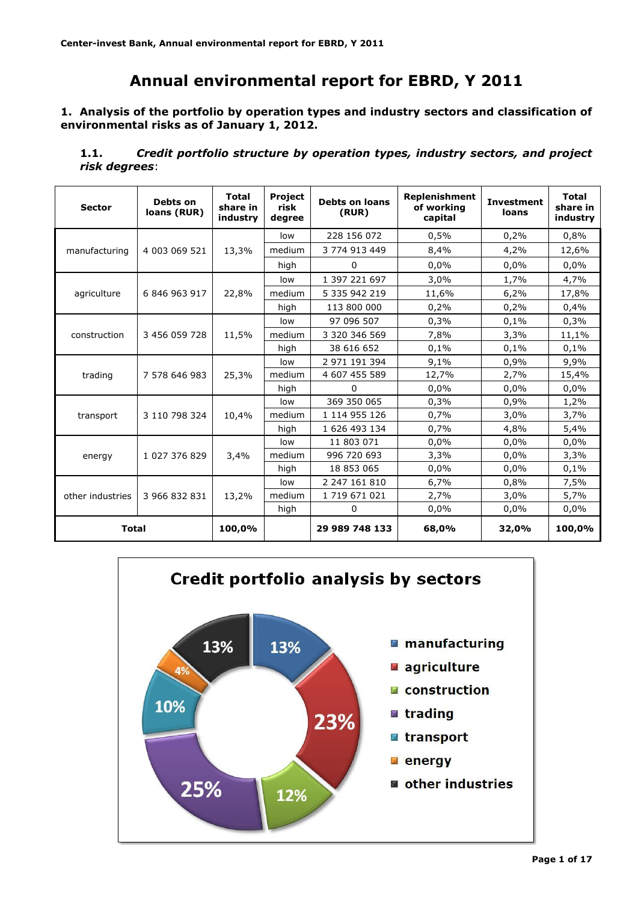# **Annual environmental report for EBRD, Y 2011**

**1. Analysis of the portfolio by operation types and industry sectors and classification of environmental risks as of January 1, 2012.**

**1.1.** *Credit portfolio structure by operation types, industry sectors, and project risk degrees*:

| <b>Sector</b>    | Debts on<br>loans (RUR) | <b>Total</b><br>share in<br>industry | Project<br><b>Debts on loans</b><br>risk<br>(RUR)<br>degree |                | Replenishment<br>of working<br>capital | <b>Investment</b><br>loans | <b>Total</b><br>share in<br>industry |
|------------------|-------------------------|--------------------------------------|-------------------------------------------------------------|----------------|----------------------------------------|----------------------------|--------------------------------------|
|                  |                         | 13,3%                                | low                                                         | 228 156 072    | 0,5%                                   | 0,2%                       | 0,8%                                 |
| manufacturing    | 4 003 069 521           |                                      | medium                                                      | 3 774 913 449  | 8,4%                                   | 4,2%                       | 12,6%                                |
|                  |                         |                                      | high                                                        | 0              | 0,0%                                   | 0,0%                       | 0,0%                                 |
|                  |                         |                                      | low                                                         | 1 397 221 697  | 3,0%                                   | 1,7%                       | 4,7%                                 |
| agriculture      | 6 846 963 917           | 22,8%                                | medium                                                      | 5 335 942 219  | 11,6%                                  | 6,2%                       | 17,8%                                |
|                  |                         |                                      | high                                                        | 113 800 000    | 0,2%                                   | 0,2%                       | 0,4%                                 |
|                  |                         |                                      | low                                                         | 97 096 507     | 0,3%                                   | 0,1%                       | 0,3%                                 |
| construction     | 3 456 059 728           | 11,5%                                | medium                                                      | 3 320 346 569  | 7,8%                                   | 3,3%                       | 11,1%                                |
|                  |                         |                                      | high                                                        | 38 616 652     | 0,1%                                   | 0,1%                       | 0,1%                                 |
|                  | 7 578 646 983           | 25,3%                                | low                                                         | 2 971 191 394  | 9,1%                                   | 0,9%                       | 9,9%                                 |
| trading          |                         |                                      | medium                                                      | 4 607 455 589  | 12,7%                                  | 2,7%                       | 15,4%                                |
|                  |                         |                                      | high                                                        | 0              | 0,0%                                   | 0,0%                       | 0,0%                                 |
|                  |                         |                                      | low                                                         | 369 350 065    | 0,3%                                   | 0,9%                       | 1,2%                                 |
| transport        | 3 110 798 324           | 10,4%                                | medium                                                      | 1 114 955 126  | 0,7%                                   | 3,0%                       | 3,7%                                 |
|                  |                         |                                      | high                                                        | 1 626 493 134  | 0,7%                                   | 4,8%                       | 5,4%                                 |
|                  |                         |                                      | low                                                         | 11 803 071     | 0,0%                                   | 0.0%                       | 0,0%                                 |
| energy           | 1 027 376 829           | 3,4%                                 | medium                                                      | 996 720 693    | 3,3%                                   | 0,0%                       | 3,3%                                 |
|                  |                         |                                      | high                                                        | 18 853 065     | 0,0%                                   | 0,0%                       | 0,1%                                 |
|                  |                         |                                      | low                                                         | 2 247 161 810  | 6,7%                                   | 0,8%                       | 7,5%                                 |
| other industries | 3 966 832 831           | 13,2%                                | medium                                                      | 1 719 671 021  | 2,7%                                   | 3,0%                       | 5,7%                                 |
|                  |                         |                                      | high                                                        | 0              | 0,0%                                   | 0,0%                       | 0,0%                                 |
| <b>Total</b>     |                         | 100,0%                               |                                                             | 29 989 748 133 | 68,0%                                  | 32,0%                      | 100,0%                               |

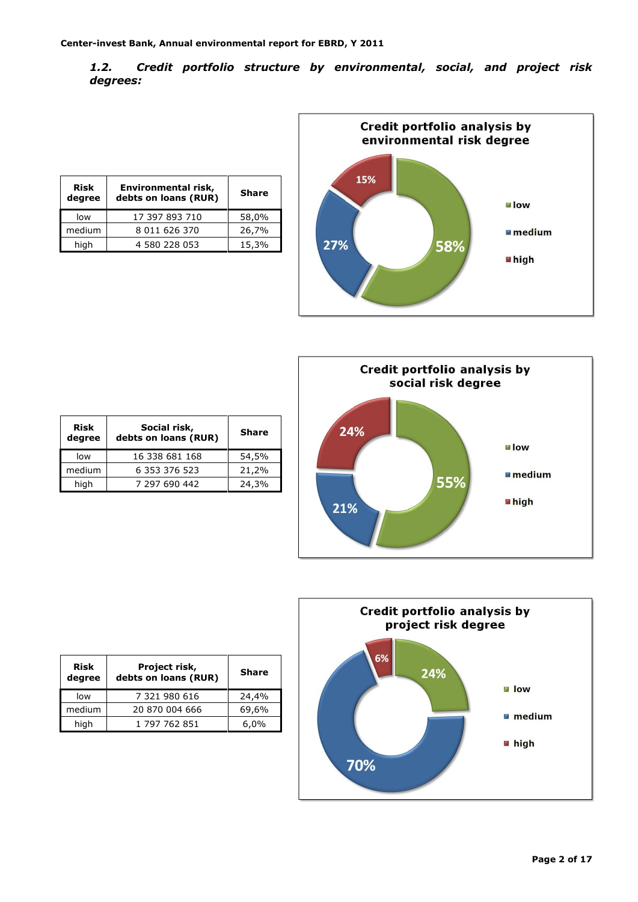*1.2. Credit portfolio structure by environmental, social, and project risk degrees:*

| <b>Risk</b><br>degree | Environmental risk,<br>debts on loans (RUR) | <b>Share</b> |
|-----------------------|---------------------------------------------|--------------|
| low                   | 17 397 893 710                              | 58,0%        |
| medium                | 8 011 626 370                               | 26,7%        |
| high                  | 4 580 228 053                               | 15,3%        |







| <b>Risk</b><br>degree | Social risk,<br>debts on loans (RUR) | <b>Share</b> |
|-----------------------|--------------------------------------|--------------|
| low                   | 16 338 681 168                       | 54,5%        |
| medium                | 6 353 376 523                        | 21,2%        |
| high                  | 7 297 690 442                        | 24,3%        |

| <b>Risk</b><br>degree | Project risk,<br>debts on loans (RUR) | <b>Share</b> |  |  |  |
|-----------------------|---------------------------------------|--------------|--|--|--|
| low                   | 7 321 980 616                         | 24,4%        |  |  |  |
| medium                | 20 870 004 666                        | 69,6%        |  |  |  |
| high                  | 1 797 762 851                         | 6,0%         |  |  |  |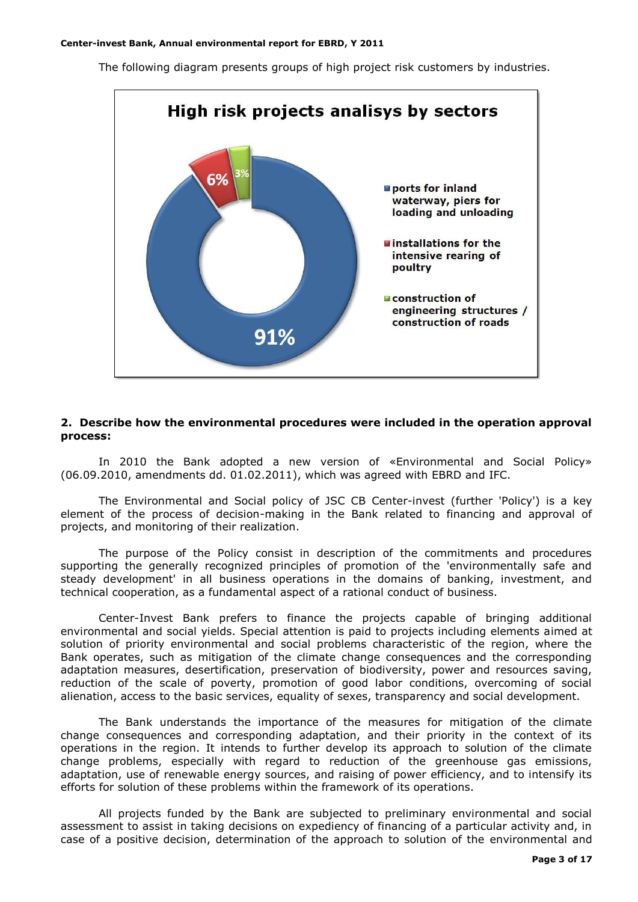The following diagram presents groups of high project risk customers by industries.



#### **2. Describe how the environmental procedures were included in the operation approval process:**

In 2010 the Bank adopted a new version of «Environmental and Social Policy» (06.09.2010, amendments dd. 01.02.2011), which was agreed with EBRD and IFC.

The Environmental and Social policy of JSC CB Center-invest (further 'Policy') is a key element of the process of decision-making in the Bank related to financing and approval of projects, and monitoring of their realization.

The purpose of the Policy consist in description of the commitments and procedures supporting the generally recognized principles of promotion of the 'environmentally safe and steady development' in all business operations in the domains of banking, investment, and technical cooperation, as a fundamental aspect of a rational conduct of business.

Center-Invest Bank prefers to finance the projects capable of bringing additional environmental and social yields. Special attention is paid to projects including elements aimed at solution of priority environmental and social problems characteristic of the region, where the Bank operates, such as mitigation of the climate change consequences and the corresponding adaptation measures, desertification, preservation of biodiversity, power and resources saving, reduction of the scale of poverty, promotion of good labor conditions, overcoming of social alienation, access to the basic services, equality of sexes, transparency and social development.

The Bank understands the importance of the measures for mitigation of the climate change consequences and corresponding adaptation, and their priority in the context of its operations in the region. It intends to further develop its approach to solution of the climate change problems, especially with regard to reduction of the greenhouse gas emissions, adaptation, use of renewable energy sources, and raising of power efficiency, and to intensify its efforts for solution of these problems within the framework of its operations.

All projects funded by the Bank are subjected to preliminary environmental and social assessment to assist in taking decisions on expediency of financing of a particular activity and, in case of a positive decision, determination of the approach to solution of the environmental and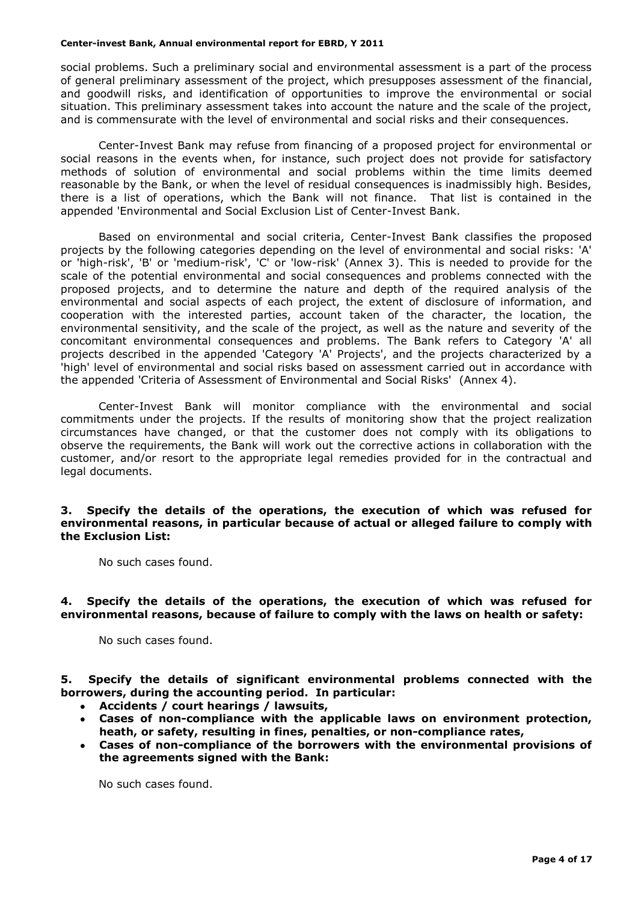social problems. Such a preliminary social and environmental assessment is a part of the process of general preliminary assessment of the project, which presupposes assessment of the financial, and goodwill risks, and identification of opportunities to improve the environmental or social situation. This preliminary assessment takes into account the nature and the scale of the project, and is commensurate with the level of environmental and social risks and their consequences.

Center-Invest Bank may refuse from financing of a proposed project for environmental or social reasons in the events when, for instance, such project does not provide for satisfactory methods of solution of environmental and social problems within the time limits deemed reasonable by the Bank, or when the level of residual consequences is inadmissibly high. Besides, there is a list of operations, which the Bank will not finance. That list is contained in the appended 'Environmental and Social Exclusion List of Center-Invest Bank.

Based on environmental and social criteria, Center-Invest Bank classifies the proposed projects by the following categories depending on the level of environmental and social risks: 'A' or 'high-risk', 'B' or 'medium-risk', 'C' or 'low-risk' (Annex 3). This is needed to provide for the scale of the potential environmental and social consequences and problems connected with the proposed projects, and to determine the nature and depth of the required analysis of the environmental and social aspects of each project, the extent of disclosure of information, and cooperation with the interested parties, account taken of the character, the location, the environmental sensitivity, and the scale of the project, as well as the nature and severity of the concomitant environmental consequences and problems. The Bank refers to Category 'A' all projects described in the appended 'Category 'A' Projects', and the projects characterized by a 'high' level of environmental and social risks based on assessment carried out in accordance with the appended 'Criteria of Assessment of Environmental and Social Risks' (Annex 4).

Center-Invest Bank will monitor compliance with the environmental and social commitments under the projects. If the results of monitoring show that the project realization circumstances have changed, or that the customer does not comply with its obligations to observe the requirements, the Bank will work out the corrective actions in collaboration with the customer, and/or resort to the appropriate legal remedies provided for in the contractual and legal documents.

## **3. Specify the details of the operations, the execution of which was refused for environmental reasons, in particular because of actual or alleged failure to comply with the Exclusion List:**

No such cases found.

## **4. Specify the details of the operations, the execution of which was refused for environmental reasons, because of failure to comply with the laws on health or safety:**

No such cases found.

**5. Specify the details of significant environmental problems connected with the borrowers, during the accounting period. In particular:**

- **Accidents / court hearings / lawsuits,**
- **Cases of non-compliance with the applicable laws on environment protection, heath, or safety, resulting in fines, penalties, or non-compliance rates,**
- **Cases of non-compliance of the borrowers with the environmental provisions of the agreements signed with the Bank:**

No such cases found.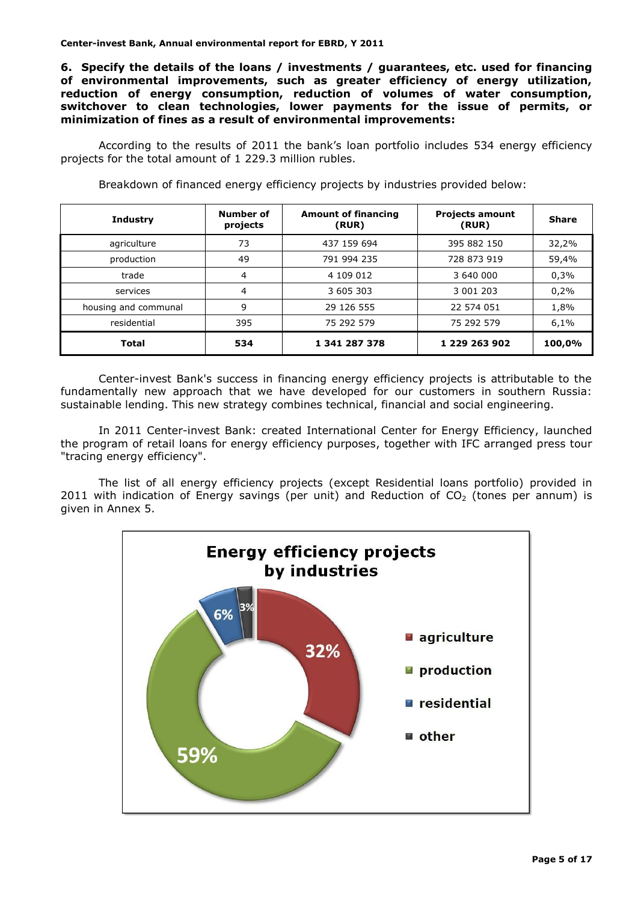**6. Specify the details of the loans / investments / guarantees, etc. used for financing of environmental improvements, such as greater efficiency of energy utilization, reduction of energy consumption, reduction of volumes of water consumption, switchover to clean technologies, lower payments for the issue of permits, or minimization of fines as a result of environmental improvements:**

According to the results of 2011 the bank's loan portfolio includes 534 energy efficiency projects for the total amount of 1 229.3 million rubles.

| <b>Industry</b>      | Number of<br>projects | <b>Amount of financing</b><br>(RUR) | <b>Projects amount</b><br>(RUR) | <b>Share</b> |
|----------------------|-----------------------|-------------------------------------|---------------------------------|--------------|
| agriculture          | 73                    | 437 159 694                         | 395 882 150                     | 32,2%        |
| production           | 49                    | 791 994 235                         | 728 873 919                     | 59,4%        |
| trade                | 4                     | 4 109 012                           | 3 640 000                       | 0,3%         |
| services             | 4                     | 3 605 303                           | 3 001 203                       | 0,2%         |
| housing and communal | 9                     | 29 126 555                          | 22 574 051                      | 1,8%         |
| residential          | 395                   | 75 292 579                          | 75 292 579                      | 6,1%         |
| Total                | 534                   | 1 341 287 378                       | 1 229 263 902                   | 100,0%       |

Center-invest Bank's success in financing energy efficiency projects is attributable to the fundamentally new approach that we have developed for our customers in southern Russia: sustainable lending. This new strategy combines technical, financial and social engineering.

In 2011 Center-invest Bank: created International Center for Energy Efficiency, launched the program of retail loans for energy efficiency purposes, together with IFC arranged press tour "tracing energy efficiency".

The list of all energy efficiency projects (except Residential loans portfolio) provided in 2011 with indication of Energy savings (per unit) and Reduction of  $CO<sub>2</sub>$  (tones per annum) is given in Annex 5.

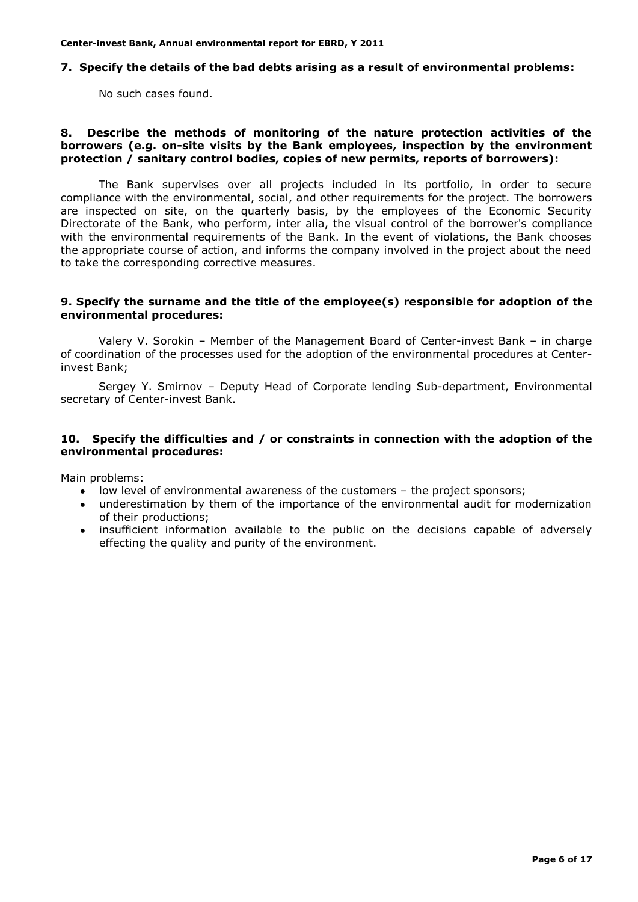# **7. Specify the details of the bad debts arising as a result of environmental problems:**

No such cases found.

## **8. Describe the methods of monitoring of the nature protection activities of the borrowers (e.g. on-site visits by the Bank employees, inspection by the environment protection / sanitary control bodies, copies of new permits, reports of borrowers):**

The Bank supervises over all projects included in its portfolio, in order to secure compliance with the environmental, social, and other requirements for the project. The borrowers are inspected on site, on the quarterly basis, by the employees of the Economic Security Directorate of the Bank, who perform, inter alia, the visual control of the borrower's compliance with the environmental requirements of the Bank. In the event of violations, the Bank chooses the appropriate course of action, and informs the company involved in the project about the need to take the corresponding corrective measures.

#### **9. Specify the surname and the title of the employee(s) responsible for adoption of the environmental procedures:**

Valery V. Sorokin – Member of the Management Board of Center-invest Bank – in charge of coordination of the processes used for the adoption of the environmental procedures at Centerinvest Bank;

Sergey Y. Smirnov – Deputy Head of Corporate lending Sub-department, Environmental secretary of Center-invest Bank.

#### **10. Specify the difficulties and / or constraints in connection with the adoption of the environmental procedures:**

Main problems:

- low level of environmental awareness of the customers the project sponsors;
- underestimation by them of the importance of the environmental audit for modernization of their productions;
- insufficient information available to the public on the decisions capable of adversely effecting the quality and purity of the environment.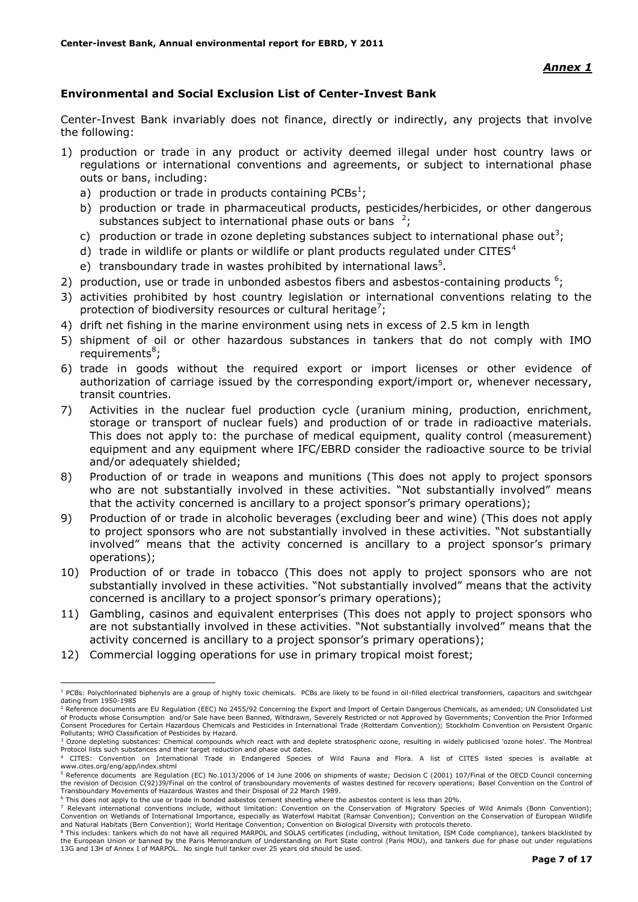# **Environmental and Social Exclusion List of Center-Invest Bank**

Center-Invest Bank invariably does not finance, directly or indirectly, any projects that involve the following:

- 1) production or trade in any product or activity deemed illegal under host country laws or regulations or international conventions and agreements, or subject to international phase outs or bans, including:
	- a) production or trade in products containing PCBs<sup>1</sup>;
	- b) production or trade in pharmaceutical products, pesticides/herbicides, or other dangerous substances subject to international phase outs or bans  $2$ ;
	- c) production or trade in ozone depleting substances subject to international phase out<sup>3</sup>;
	- d) trade in wildlife or plants or wildlife or plant products regulated under CITES $4$
	- e) transboundary trade in wastes prohibited by international laws<sup>5</sup>.
- 2) production, use or trade in unbonded asbestos fibers and asbestos-containing products  $6$ ;
- 3) activities prohibited by host country legislation or international conventions relating to the protection of biodiversity resources or cultural heritage<sup>7</sup>;
- 4) drift net fishing in the marine environment using nets in excess of 2.5 km in length
- 5) shipment of oil or other hazardous substances in tankers that do not comply with IMO requirements<sup>8</sup>;
- 6) trade in goods without the required export or import licenses or other evidence of authorization of carriage issued by the corresponding export/import or, whenever necessary, transit countries.
- 7) Activities in the nuclear fuel production cycle (uranium mining, production, enrichment, storage or transport of nuclear fuels) and production of or trade in radioactive materials. This does not apply to: the purchase of medical equipment, quality control (measurement) equipment and any equipment where IFC/EBRD consider the radioactive source to be trivial and/or adequately shielded;
- 8) Production of or trade in weapons and munitions (This does not apply to project sponsors who are not substantially involved in these activities. "Not substantially involved" means that the activity concerned is ancillary to a project sponsor's primary operations);
- 9) Production of or trade in alcoholic beverages (excluding beer and wine) (This does not apply to project sponsors who are not substantially involved in these activities. "Not substantially involved" means that the activity concerned is ancillary to a project sponsor's primary operations);
- 10) Production of or trade in tobacco (This does not apply to project sponsors who are not substantially involved in these activities. "Not substantially involved" means that the activity concerned is ancillary to a project sponsor's primary operations);
- 11) Gambling, casinos and equivalent enterprises (This does not apply to project sponsors who are not substantially involved in these activities. "Not substantially involved" means that the activity concerned is ancillary to a project sponsor's primary operations);
- 12) Commercial logging operations for use in primary tropical moist forest;

1

<sup>&</sup>lt;sup>1</sup> PCBs: Polychlorinated biphenyls are a group of highly toxic chemicals. PCBs are likely to be found in oil-filled electrical transformers, capacitors and switchgear dating from 1950-1985

<sup>&</sup>lt;sup>2</sup> Reference documents are EU Regulation (EEC) No 2455/92 Concerning the Export and Import of Certain Dangerous Chemicals, as amended; UN Consolidated List of Products whose Consumption and/or Sale have been Banned, Withdrawn, Severely Restricted or not Approved by Governments; Convention the Prior Informed<br>Consent Procedures for Certain Hazardous Chemicals and Pesticides in Pollutants; WHO Classification of Pesticides by Hazard.

<sup>&</sup>lt;sup>3</sup> Ozone depleting substances: Chemical compounds which react with and deplete stratospheric ozone, resulting in widely publicised 'ozone holes'. The Montreal Protocol lists such substances and their target reduction and phase out dates.

<sup>4</sup> CITES: Convention on International Trade in Endangered Species of Wild Fauna and Flora. A list of CITES listed species is available at www.cites.org/eng/app/index.shtml

<sup>&</sup>lt;sup>5</sup> Reference documents are Regulation (EC) No.1013/2006 of 14 June 2006 on shipments of waste; Decision C (2001) 107/Final of the OECD Council concerning the revision of Decision C(92)39/Final on the control of transboundary movements of wastes destined for recovery operations; Basel Convention on the Control of<br>Transboundary Movements of Hazardous Wastes and their Disposal

<sup>6</sup> This does not apply to the use or trade in bonded asbestos cement sheeting where the asbestos content is less than 20%.

This does not deprived the doe of clube in bonded deservers and the conservation of Migratory Species of Wild Animals (Bonn Convention); Convention on Wetlands of International Importance, especially as Waterfowl Habitat (Ramsar Convention); Convention on the Conservation of European Wildlife and Natural Habitats (Bern Convention); World Heritage Convention; Convention on Biological Diversity with protocols thereto.

<sup>&</sup>lt;sup>8</sup> This includes: tankers which do not have all required MARPOL and SOLAS certificates (including, without limitation, ISM Code compliance), tankers blacklisted by the European Union or banned by the Paris Memorandum of Understanding on Port State control (Paris MOU), and tankers due for phase out under regulations 13G and 13H of Annex I of MARPOL. No single hull tanker over 25 years old should be used.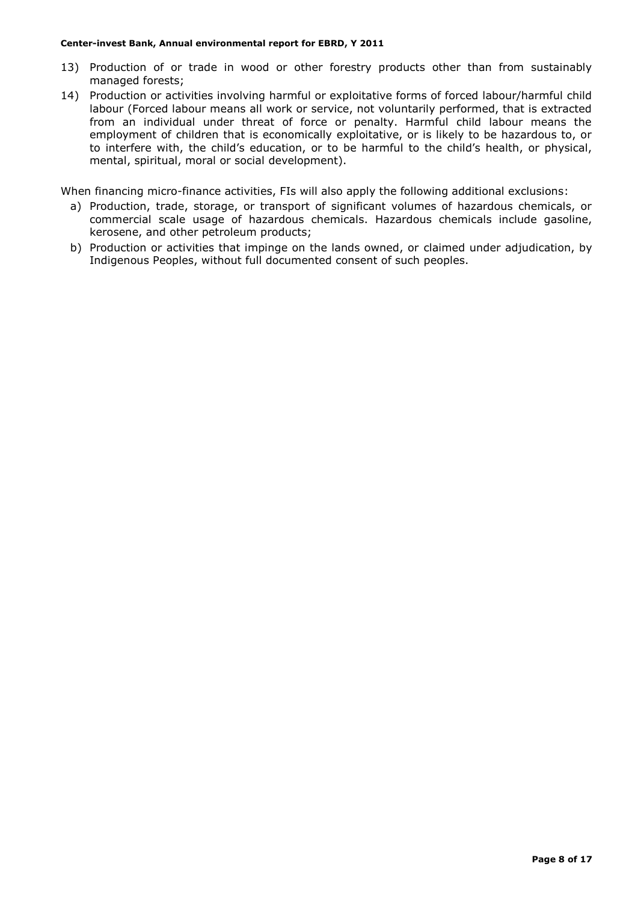- 13) Production of or trade in wood or other forestry products other than from sustainably managed forests;
- 14) Production or activities involving harmful or exploitative forms of forced labour/harmful child labour (Forced labour means all work or service, not voluntarily performed, that is extracted from an individual under threat of force or penalty. Harmful child labour means the employment of children that is economically exploitative, or is likely to be hazardous to, or to interfere with, the child's education, or to be harmful to the child's health, or physical, mental, spiritual, moral or social development).

When financing micro-finance activities, FIs will also apply the following additional exclusions:

- a) Production, trade, storage, or transport of significant volumes of hazardous chemicals, or commercial scale usage of hazardous chemicals. Hazardous chemicals include gasoline, kerosene, and other petroleum products;
- b) Production or activities that impinge on the lands owned, or claimed under adjudication, by Indigenous Peoples, without full documented consent of such peoples.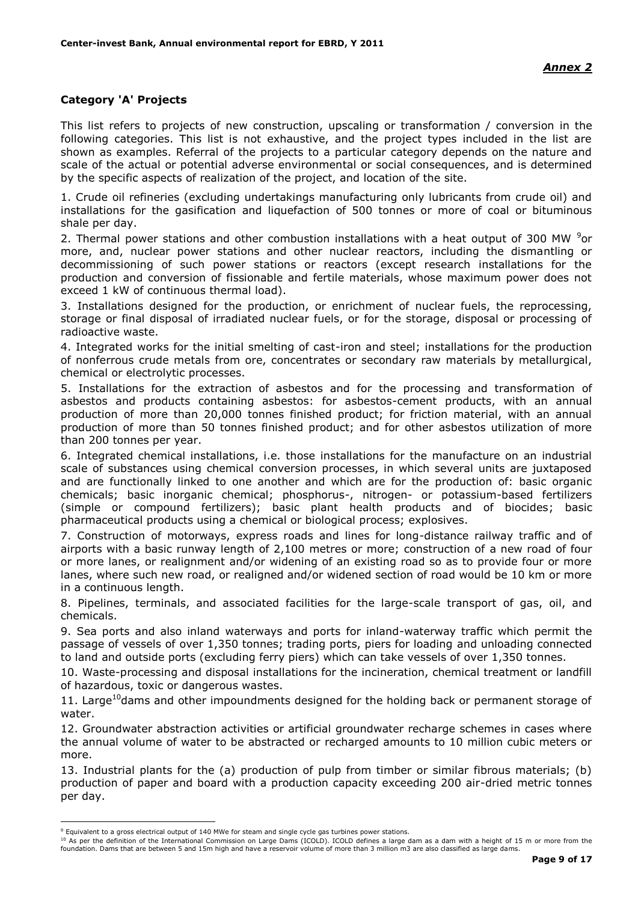# **Category 'A' Projects**

This list refers to projects of new construction, upscaling or transformation / conversion in the following categories. This list is not exhaustive, and the project types included in the list are shown as examples. Referral of the projects to a particular category depends on the nature and scale of the actual or potential adverse environmental or social consequences, and is determined by the specific aspects of realization of the project, and location of the site.

1. Crude oil refineries (excluding undertakings manufacturing only lubricants from crude oil) and installations for the gasification and liquefaction of 500 tonnes or more of coal or bituminous shale per day.

2. Thermal power stations and other combustion installations with a heat output of 300 MW  $9$ or more, and, nuclear power stations and other nuclear reactors, including the dismantling or decommissioning of such power stations or reactors (except research installations for the production and conversion of fissionable and fertile materials, whose maximum power does not exceed 1 kW of continuous thermal load).

3. Installations designed for the production, or enrichment of nuclear fuels, the reprocessing, storage or final disposal of irradiated nuclear fuels, or for the storage, disposal or processing of radioactive waste.

4. Integrated works for the initial smelting of cast-iron and steel; installations for the production of nonferrous crude metals from ore, concentrates or secondary raw materials by metallurgical, chemical or electrolytic processes.

5. Installations for the extraction of asbestos and for the processing and transformation of asbestos and products containing asbestos: for asbestos-cement products, with an annual production of more than 20,000 tonnes finished product; for friction material, with an annual production of more than 50 tonnes finished product; and for other asbestos utilization of more than 200 tonnes per year.

6. Integrated chemical installations, i.e. those installations for the manufacture on an industrial scale of substances using chemical conversion processes, in which several units are juxtaposed and are functionally linked to one another and which are for the production of: basic organic chemicals; basic inorganic chemical; phosphorus-, nitrogen- or potassium-based fertilizers (simple or compound fertilizers); basic plant health products and of biocides; basic pharmaceutical products using a chemical or biological process; explosives.

7. Construction of motorways, express roads and lines for long-distance railway traffic and of airports with a basic runway length of 2,100 metres or more; construction of a new road of four or more lanes, or realignment and/or widening of an existing road so as to provide four or more lanes, where such new road, or realigned and/or widened section of road would be 10 km or more in a continuous length.

8. Pipelines, terminals, and associated facilities for the large-scale transport of gas, oil, and chemicals.

9. Sea ports and also inland waterways and ports for inland-waterway traffic which permit the passage of vessels of over 1,350 tonnes; trading ports, piers for loading and unloading connected to land and outside ports (excluding ferry piers) which can take vessels of over 1,350 tonnes.

10. Waste-processing and disposal installations for the incineration, chemical treatment or landfill of hazardous, toxic or dangerous wastes.

11. Large<sup>10</sup>dams and other impoundments designed for the holding back or permanent storage of water.

12. Groundwater abstraction activities or artificial groundwater recharge schemes in cases where the annual volume of water to be abstracted or recharged amounts to 10 million cubic meters or more.

13. Industrial plants for the (a) production of pulp from timber or similar fibrous materials; (b) production of paper and board with a production capacity exceeding 200 air-dried metric tonnes per day.

<u>.</u>

<sup>10</sup> As per the definition of the International Commission on Large Dams (ICOLD). ICOLD defines a large dam as a dam with a height of 15 m or more from the foundation. Dams that are between 5 and 15m high and have a reservoir volume of more than 3 million m3 are also classified as large dams.

<sup>9</sup> Equivalent to a gross electrical output of 140 MWe for steam and single cycle gas turbines power stations.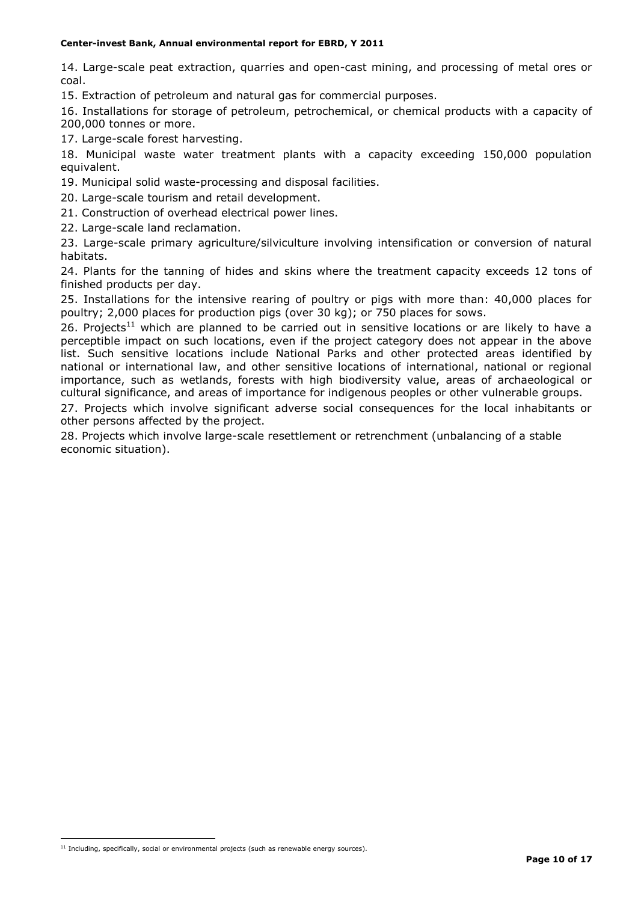14. Large-scale peat extraction, quarries and open-cast mining, and processing of metal ores or coal.

15. Extraction of petroleum and natural gas for commercial purposes.

16. Installations for storage of petroleum, petrochemical, or chemical products with a capacity of 200,000 tonnes or more.

17. Large-scale forest harvesting.

18. Municipal waste water treatment plants with a capacity exceeding 150,000 population equivalent.

19. Municipal solid waste-processing and disposal facilities.

20. Large-scale tourism and retail development.

21. Construction of overhead electrical power lines.

22. Large-scale land reclamation.

23. Large-scale primary agriculture/silviculture involving intensification or conversion of natural habitats.

24. Plants for the tanning of hides and skins where the treatment capacity exceeds 12 tons of finished products per day.

25. Installations for the intensive rearing of poultry or pigs with more than: 40,000 places for poultry; 2,000 places for production pigs (over 30 kg); or 750 places for sows.

26. Projects<sup>11</sup> which are planned to be carried out in sensitive locations or are likely to have a perceptible impact on such locations, even if the project category does not appear in the above list. Such sensitive locations include National Parks and other protected areas identified by national or international law, and other sensitive locations of international, national or regional importance, such as wetlands, forests with high biodiversity value, areas of archaeological or cultural significance, and areas of importance for indigenous peoples or other vulnerable groups.

27. Projects which involve significant adverse social consequences for the local inhabitants or other persons affected by the project.

28. Projects which involve large-scale resettlement or retrenchment (unbalancing of a stable economic situation).

1

 $11$  Including, specifically, social or environmental projects (such as renewable energy sources).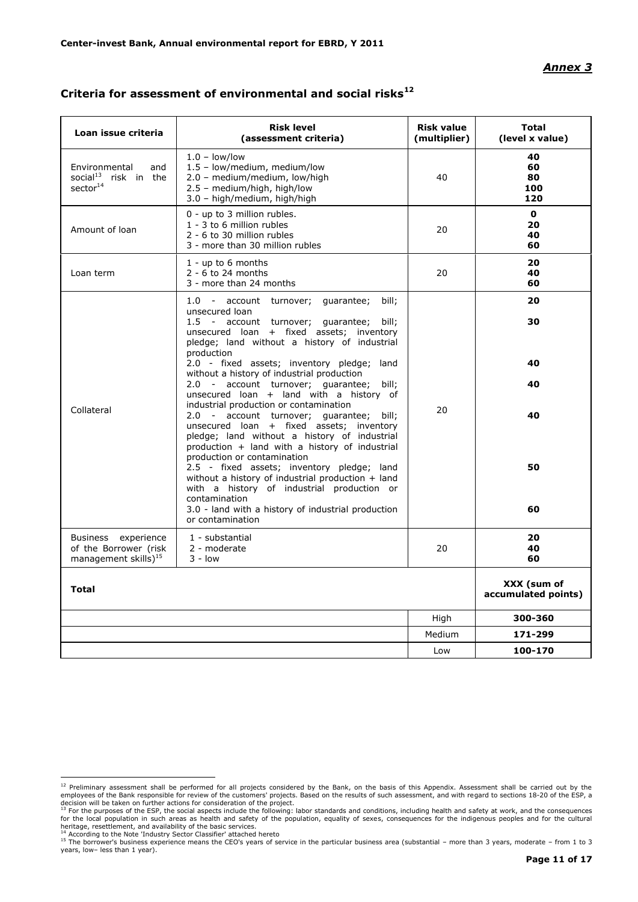#### *Annex 3*

| Loan issue criteria                                                                 | <b>Risk level</b><br>(assessment criteria)                                                                                                                                                                                              | <b>Risk value</b><br>(multiplier) | <b>Total</b><br>(level x value)    |
|-------------------------------------------------------------------------------------|-----------------------------------------------------------------------------------------------------------------------------------------------------------------------------------------------------------------------------------------|-----------------------------------|------------------------------------|
| Environmental<br>and<br>social <sup>13</sup> risk in the<br>sector <sup>14</sup>    | $1.0 - low/low$<br>1.5 - low/medium, medium/low<br>2.0 - medium/medium, low/high<br>2.5 - medium/high, high/low<br>3.0 - high/medium, high/high                                                                                         | 40                                | 40<br>60<br>80<br>100<br>120       |
| Amount of loan                                                                      | 0 - up to 3 million rubles.<br>1 - 3 to 6 million rubles<br>2 - 6 to 30 million rubles<br>3 - more than 30 million rubles                                                                                                               | 20                                | $\mathbf{0}$<br>20<br>40<br>60     |
| Loan term                                                                           | $1 - up to 6 months$<br>$2 - 6$ to 24 months<br>3 - more than 24 months                                                                                                                                                                 | 20                                | 20<br>40<br>60                     |
|                                                                                     | 1.0 - account turnover; quarantee;<br>bill:<br>unsecured loan<br>1.5 - account turnover; guarantee; bill;<br>unsecured loan + fixed assets; inventory<br>pledge; land without a history of industrial                                   |                                   | 20<br>30                           |
|                                                                                     | production<br>2.0 - fixed assets; inventory pledge; land<br>without a history of industrial production<br>2.0 - account turnover; quarantee; bill;<br>unsecured loan + land with a history of<br>industrial production or contamination |                                   | 40<br>40                           |
| Collateral                                                                          | 2.0 - account turnover; quarantee; bill;<br>unsecured loan + fixed assets; inventory<br>pledge; land without a history of industrial<br>production + land with a history of industrial<br>production or contamination                   | 20                                | 40                                 |
|                                                                                     | 2.5 - fixed assets; inventory pledge; land<br>without a history of industrial production + land<br>with a history of industrial production or<br>contamination<br>3.0 - land with a history of industrial production                    |                                   | 50<br>60                           |
| experience<br>Business<br>of the Borrower (risk<br>management skills) <sup>15</sup> | or contamination<br>1 - substantial<br>2 - moderate<br>$3 - low$                                                                                                                                                                        | 20                                | 20<br>40<br>60                     |
| <b>Total</b>                                                                        |                                                                                                                                                                                                                                         |                                   | XXX (sum of<br>accumulated points) |
|                                                                                     |                                                                                                                                                                                                                                         | High                              | 300-360                            |
|                                                                                     |                                                                                                                                                                                                                                         | Medium                            | 171-299                            |
|                                                                                     |                                                                                                                                                                                                                                         | Low                               | 100-170                            |

# **Criteria for assessment of environmental and social risks<sup>12</sup>**

The preliminary assessment shall be performed for all projects considered by the Bank, on the basis of this Appendix. Assessment shall be carried out by the stated out by the stated out by the stated out by the stated out employees of the Bank responsible for review of the customers' projects. Based on the results of such assessment, and with regard to sections 18-20 of the ESP, a<br>decision will be taken on further actions for consideration

heritage, resettlement, and availability of the basic services.

<sup>&</sup>lt;sup>14</sup> According to the Note 'Industry Sector Classifier' attached hereto<br><sup>15</sup> The borrower's business experience means the CEO's years of service in the particular business area (substantial – more than 3 years, moderate – years, low– less than 1 year).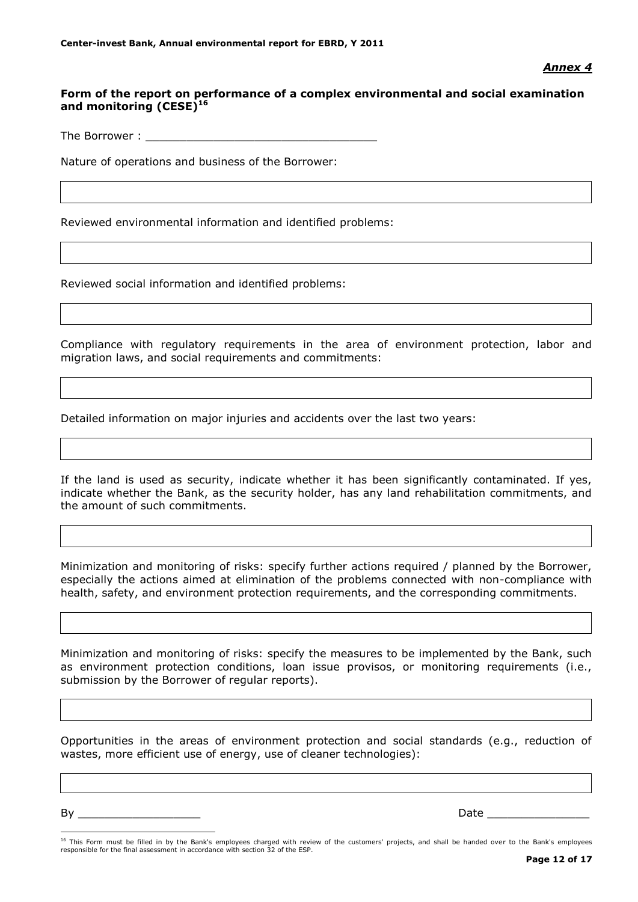# **Form of the report on performance of a complex environmental and social examination and monitoring (CESE)<sup>16</sup>**

The Borrower :

Nature of operations and business of the Borrower:

Reviewed environmental information and identified problems:

Reviewed social information and identified problems:

Compliance with regulatory requirements in the area of environment protection, labor and migration laws, and social requirements and commitments:

Detailed information on major injuries and accidents over the last two years:

If the land is used as security, indicate whether it has been significantly contaminated. If yes, indicate whether the Bank, as the security holder, has any land rehabilitation commitments, and the amount of such commitments.

Minimization and monitoring of risks: specify further actions required / planned by the Borrower, especially the actions aimed at elimination of the problems connected with non-compliance with health, safety, and environment protection requirements, and the corresponding commitments.

Minimization and monitoring of risks: specify the measures to be implemented by the Bank, such as environment protection conditions, loan issue provisos, or monitoring requirements (i.e., submission by the Borrower of regular reports).

Opportunities in the areas of environment protection and social standards (e.g., reduction of wastes, more efficient use of energy, use of cleaner technologies):

By \_\_\_\_\_\_\_\_\_\_\_\_\_\_\_\_\_\_ Date \_\_\_\_\_\_\_\_\_\_\_\_\_\_\_

<u>.</u>

<sup>&</sup>lt;sup>16</sup> This Form must be filled in by the Bank's employees charged with review of the customers' projects, and shall be handed over to the Bank's employees responsible for the final assessment in accordance with section 32 of the ESP.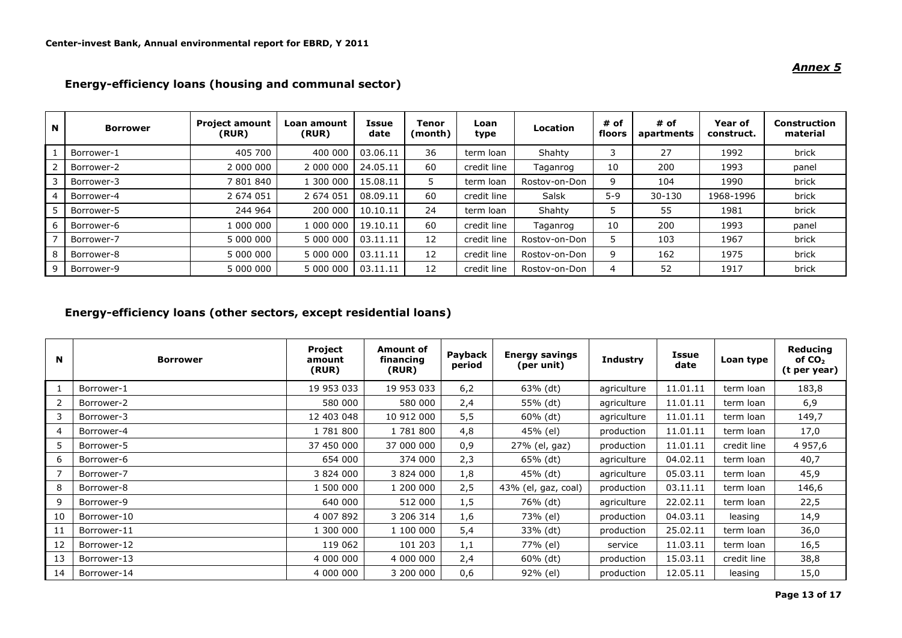### *Annex 5*

| N | <b>Borrower</b> | <b>Project amount</b><br>(RUR) | Loan amount<br>(RUR) | Issue<br>date | Tenor<br>(month) | Loan<br>type | <b>Location</b> | # of<br>floors | # of<br>apartments | Year of<br>construct. | Construction<br>material |
|---|-----------------|--------------------------------|----------------------|---------------|------------------|--------------|-----------------|----------------|--------------------|-----------------------|--------------------------|
|   | Borrower-1      | 405 700                        | 400 000              | 03.06.11      | 36               | term loan    | Shahty          |                | 27                 | 1992                  | brick                    |
|   | Borrower-2      | 2 000 000                      | 2 000 000            | 24.05.11      | 60               | credit line  | Taganrog        | 10             | 200                | 1993                  | panel                    |
|   | Borrower-3      | 7 801 840                      | 1 300 000            | 15.08.11      |                  | term loan    | Rostov-on-Don   |                | 104                | 1990                  | brick                    |
|   | Borrower-4      | 2 674 051                      | 2 674 051            | 08.09.11      | 60               | credit line  | Salsk           | $5 - 9$        | 30-130             | 1968-1996             | brick                    |
|   | Borrower-5      | 244 964                        | 200 000              | 10.10.11      | 24               | term loan    | Shahty          |                | 55                 | 1981                  | brick                    |
|   | Borrower-6      | 1 000 000                      | 1 000 000            | 19.10.11      | 60               | credit line  | Taganrog        | 10             | 200                | 1993                  | panel                    |
|   | Borrower-7      | 5 000 000                      | 5 000 000            | 03.11.11      | 12               | credit line  | Rostov-on-Don   |                | 103                | 1967                  | brick                    |
|   | Borrower-8      | 5 000 000                      | 5 000 000            | 03.11.11      | 12               | credit line  | Rostov-on-Don   | q              | 162                | 1975                  | brick                    |
|   | Borrower-9      | 5 000 000                      | 5 000 000            | 03.11.11      | 12               | credit line  | Rostov-on-Don   |                | 52                 | 1917                  | brick                    |

# **Energy-efficiency loans (housing and communal sector)**

# **Energy-efficiency loans (other sectors, except residential loans)**

| N              | <b>Borrower</b> | Project<br>amount<br>(RUR) | <b>Amount of</b><br>financing<br>(RUR) | Payback<br>period | <b>Energy savings</b><br>(per unit) | <b>Industry</b> | Issue<br>date | Loan type   | <b>Reducing</b><br>of $CO2$<br>(t per year) |
|----------------|-----------------|----------------------------|----------------------------------------|-------------------|-------------------------------------|-----------------|---------------|-------------|---------------------------------------------|
|                | Borrower-1      | 19 953 033                 | 19 953 033                             | 6,2               | 63% (dt)                            | agriculture     | 11.01.11      | term loan   | 183,8                                       |
|                | Borrower-2      | 580 000                    | 580 000                                | 2,4               | 55% (dt)                            | agriculture     | 11.01.11      | term loan   | 6,9                                         |
| 3              | Borrower-3      | 12 403 048                 | 10 912 000                             | 5,5               | $60\%$ (dt)                         | agriculture     | 11.01.11      | term loan   | 149,7                                       |
| $\overline{4}$ | Borrower-4      | 1 781 800                  | 1781800                                | 4,8               | 45% (el)                            | production      | 11.01.11      | term loan   | 17,0                                        |
| 5              | Borrower-5      | 37 450 000                 | 37 000 000                             | 0,9               | 27% (el, gaz)                       | production      | 11.01.11      | credit line | 4 9 5 7,6                                   |
| 6              | Borrower-6      | 654 000                    | 374 000                                | 2,3               | 65% (dt)                            | agriculture     | 04.02.11      | term loan   | 40,7                                        |
|                | Borrower-7      | 3 824 000                  | 3 824 000                              | 1,8               | 45% (dt)                            | agriculture     | 05.03.11      | term loan   | 45,9                                        |
| 8              | Borrower-8      | 1 500 000                  | 1 200 000                              | 2,5               | 43% (el, gaz, coal)                 | production      | 03.11.11      | term loan   | 146,6                                       |
| 9              | Borrower-9      | 640 000                    | 512 000                                | 1,5               | 76% (dt)                            | agriculture     | 22.02.11      | term loan   | 22,5                                        |
| 10             | Borrower-10     | 4 007 892                  | 3 206 314                              | 1,6               | 73% (el)                            | production      | 04.03.11      | leasing     | 14,9                                        |
| 11             | Borrower-11     | 1 300 000                  | 1 100 000                              | 5,4               | 33% (dt)                            | production      | 25.02.11      | term loan   | 36,0                                        |
| 12             | Borrower-12     | 119 062                    | 101 203                                | 1,1               | 77% (el)                            | service         | 11.03.11      | term loan   | 16,5                                        |
| 13             | Borrower-13     | 4 000 000                  | 4 000 000                              | 2,4               | $60\%$ (dt)                         | production      | 15.03.11      | credit line | 38,8                                        |
| 14             | Borrower-14     | 4 000 000                  | 3 200 000                              | 0,6               | 92% (el)                            | production      | 12.05.11      | leasing     | 15,0                                        |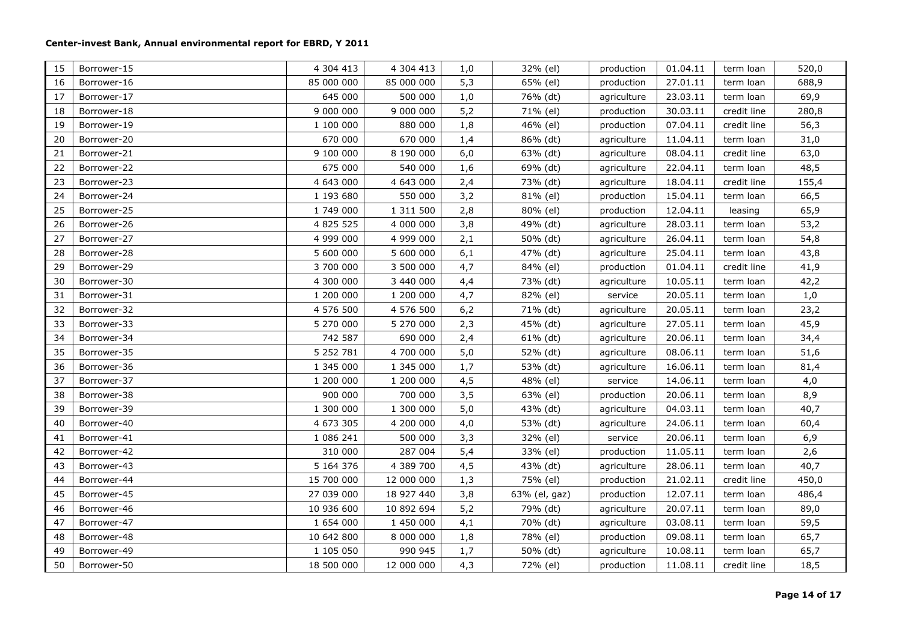| 15 | Borrower-15 | 4 304 413     | 4 304 413  | 1,0 | 32% (el)      | production  | 01.04.11 | term loan   | 520,0 |
|----|-------------|---------------|------------|-----|---------------|-------------|----------|-------------|-------|
| 16 | Borrower-16 | 85 000 000    | 85 000 000 | 5,3 | 65% (el)      | production  | 27.01.11 | term loan   | 688,9 |
| 17 | Borrower-17 | 645 000       | 500 000    | 1,0 | 76% (dt)      | agriculture | 23.03.11 | term loan   | 69,9  |
| 18 | Borrower-18 | 9 000 000     | 9 000 000  | 5,2 | 71% (el)      | production  | 30.03.11 | credit line | 280,8 |
| 19 | Borrower-19 | 1 100 000     | 880 000    | 1,8 | 46% (el)      | production  | 07.04.11 | credit line | 56,3  |
| 20 | Borrower-20 | 670 000       | 670 000    | 1,4 | 86% (dt)      | agriculture | 11.04.11 | term loan   | 31,0  |
| 21 | Borrower-21 | 9 100 000     | 8 190 000  | 6,0 | 63% (dt)      | agriculture | 08.04.11 | credit line | 63,0  |
| 22 | Borrower-22 | 675 000       | 540 000    | 1,6 | 69% (dt)      | agriculture | 22.04.11 | term loan   | 48,5  |
| 23 | Borrower-23 | 4 643 000     | 4 643 000  | 2,4 | 73% (dt)      | agriculture | 18.04.11 | credit line | 155,4 |
| 24 | Borrower-24 | 1 193 680     | 550 000    | 3,2 | 81% (el)      | production  | 15.04.11 | term loan   | 66,5  |
| 25 | Borrower-25 | 1 749 000     | 1 311 500  | 2,8 | 80% (el)      | production  | 12.04.11 | leasing     | 65,9  |
| 26 | Borrower-26 | 4 825 525     | 4 000 000  | 3,8 | 49% (dt)      | agriculture | 28.03.11 | term loan   | 53,2  |
| 27 | Borrower-27 | 4 999 000     | 4 999 000  | 2,1 | 50% (dt)      | agriculture | 26.04.11 | term loan   | 54,8  |
| 28 | Borrower-28 | 5 600 000     | 5 600 000  | 6,1 | 47% (dt)      | agriculture | 25.04.11 | term loan   | 43,8  |
| 29 | Borrower-29 | 3 700 000     | 3 500 000  | 4,7 | 84% (el)      | production  | 01.04.11 | credit line | 41,9  |
| 30 | Borrower-30 | 4 300 000     | 3 440 000  | 4,4 | 73% (dt)      | agriculture | 10.05.11 | term loan   | 42,2  |
| 31 | Borrower-31 | 1 200 000     | 1 200 000  | 4,7 | 82% (el)      | service     | 20.05.11 | term loan   | 1,0   |
| 32 | Borrower-32 | 4 576 500     | 4 576 500  | 6,2 | 71% (dt)      | agriculture | 20.05.11 | term loan   | 23,2  |
| 33 | Borrower-33 | 5 270 000     | 5 270 000  | 2,3 | 45% (dt)      | agriculture | 27.05.11 | term loan   | 45,9  |
| 34 | Borrower-34 | 742 587       | 690 000    | 2,4 | $61\%$ (dt)   | agriculture | 20.06.11 | term loan   | 34,4  |
| 35 | Borrower-35 | 5 2 5 2 7 8 1 | 4 700 000  | 5,0 | 52% (dt)      | agriculture | 08.06.11 | term loan   | 51,6  |
| 36 | Borrower-36 | 1 345 000     | 1 345 000  | 1,7 | 53% (dt)      | agriculture | 16.06.11 | term loan   | 81,4  |
| 37 | Borrower-37 | 1 200 000     | 1 200 000  | 4,5 | 48% (el)      | service     | 14.06.11 | term loan   | 4,0   |
| 38 | Borrower-38 | 900 000       | 700 000    | 3,5 | 63% (el)      | production  | 20.06.11 | term loan   | 8,9   |
| 39 | Borrower-39 | 1 300 000     | 1 300 000  | 5,0 | 43% (dt)      | agriculture | 04.03.11 | term loan   | 40,7  |
| 40 | Borrower-40 | 4 673 305     | 4 200 000  | 4,0 | 53% (dt)      | agriculture | 24.06.11 | term loan   | 60,4  |
| 41 | Borrower-41 | 1 086 241     | 500 000    | 3,3 | 32% (el)      | service     | 20.06.11 | term loan   | 6,9   |
| 42 | Borrower-42 | 310 000       | 287 004    | 5,4 | 33% (el)      | production  | 11.05.11 | term loan   | 2,6   |
| 43 | Borrower-43 | 5 164 376     | 4 389 700  | 4,5 | 43% (dt)      | agriculture | 28.06.11 | term loan   | 40,7  |
| 44 | Borrower-44 | 15 700 000    | 12 000 000 | 1,3 | 75% (el)      | production  | 21.02.11 | credit line | 450,0 |
| 45 | Borrower-45 | 27 039 000    | 18 927 440 | 3,8 | 63% (el, gaz) | production  | 12.07.11 | term loan   | 486,4 |
| 46 | Borrower-46 | 10 936 600    | 10 892 694 | 5,2 | 79% (dt)      | agriculture | 20.07.11 | term loan   | 89,0  |
| 47 | Borrower-47 | 1 654 000     | 1 450 000  | 4,1 | 70% (dt)      | agriculture | 03.08.11 | term loan   | 59,5  |
| 48 | Borrower-48 | 10 642 800    | 8 000 000  | 1,8 | 78% (el)      | production  | 09.08.11 | term loan   | 65,7  |
| 49 | Borrower-49 | 1 105 050     | 990 945    | 1,7 | 50% (dt)      | agriculture | 10.08.11 | term loan   | 65,7  |
| 50 | Borrower-50 | 18 500 000    | 12 000 000 | 4,3 | 72% (el)      | production  | 11.08.11 | credit line | 18,5  |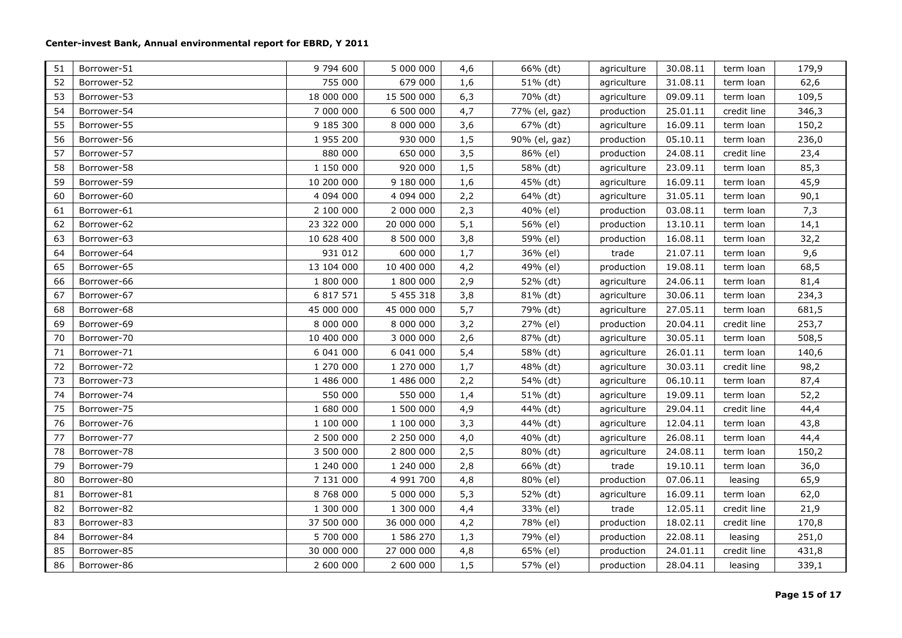| 51 | Borrower-51 | 9 794 600  | 5 000 000     | 4,6 | 66% (dt)      | agriculture | 30.08.11 | term loan   | 179,9 |
|----|-------------|------------|---------------|-----|---------------|-------------|----------|-------------|-------|
| 52 | Borrower-52 | 755 000    | 679 000       | 1,6 | 51% (dt)      | agriculture | 31.08.11 | term loan   | 62,6  |
| 53 | Borrower-53 | 18 000 000 | 15 500 000    | 6,3 | 70% (dt)      | agriculture | 09.09.11 | term loan   | 109,5 |
| 54 | Borrower-54 | 7 000 000  | 6 500 000     | 4,7 | 77% (el, gaz) | production  | 25.01.11 | credit line | 346,3 |
| 55 | Borrower-55 | 9 185 300  | 8 000 000     | 3,6 | 67% (dt)      | agriculture | 16.09.11 | term loan   | 150,2 |
| 56 | Borrower-56 | 1 955 200  | 930 000       | 1,5 | 90% (el, gaz) | production  | 05.10.11 | term loan   | 236,0 |
| 57 | Borrower-57 | 880 000    | 650 000       | 3,5 | 86% (el)      | production  | 24.08.11 | credit line | 23,4  |
| 58 | Borrower-58 | 1 150 000  | 920 000       | 1,5 | 58% (dt)      | agriculture | 23.09.11 | term loan   | 85,3  |
| 59 | Borrower-59 | 10 200 000 | 9 180 000     | 1,6 | 45% (dt)      | agriculture | 16.09.11 | term loan   | 45,9  |
| 60 | Borrower-60 | 4 094 000  | 4 094 000     | 2,2 | 64% (dt)      | agriculture | 31.05.11 | term loan   | 90,1  |
| 61 | Borrower-61 | 2 100 000  | 2 000 000     | 2,3 | 40% (el)      | production  | 03.08.11 | term loan   | 7,3   |
| 62 | Borrower-62 | 23 322 000 | 20 000 000    | 5,1 | 56% (el)      | production  | 13.10.11 | term loan   | 14,1  |
| 63 | Borrower-63 | 10 628 400 | 8 500 000     | 3,8 | 59% (el)      | production  | 16.08.11 | term loan   | 32,2  |
| 64 | Borrower-64 | 931 012    | 600 000       | 1,7 | 36% (el)      | trade       | 21.07.11 | term loan   | 9,6   |
| 65 | Borrower-65 | 13 104 000 | 10 400 000    | 4,2 | 49% (el)      | production  | 19.08.11 | term loan   | 68,5  |
| 66 | Borrower-66 | 1 800 000  | 1 800 000     | 2,9 | 52% (dt)      | agriculture | 24.06.11 | term loan   | 81,4  |
| 67 | Borrower-67 | 6 817 571  | 5 4 5 5 3 1 8 | 3,8 | 81% (dt)      | agriculture | 30.06.11 | term loan   | 234,3 |
| 68 | Borrower-68 | 45 000 000 | 45 000 000    | 5,7 | 79% (dt)      | agriculture | 27.05.11 | term loan   | 681,5 |
| 69 | Borrower-69 | 8 000 000  | 8 000 000     | 3,2 | 27% (el)      | production  | 20.04.11 | credit line | 253,7 |
| 70 | Borrower-70 | 10 400 000 | 3 000 000     | 2,6 | 87% (dt)      | agriculture | 30.05.11 | term loan   | 508,5 |
| 71 | Borrower-71 | 6 041 000  | 6 041 000     | 5,4 | 58% (dt)      | agriculture | 26.01.11 | term loan   | 140,6 |
| 72 | Borrower-72 | 1 270 000  | 1 270 000     | 1,7 | 48% (dt)      | agriculture | 30.03.11 | credit line | 98,2  |
| 73 | Borrower-73 | 1 486 000  | 1 486 000     | 2,2 | 54% (dt)      | agriculture | 06.10.11 | term loan   | 87,4  |
| 74 | Borrower-74 | 550 000    | 550 000       | 1,4 | 51% (dt)      | agriculture | 19.09.11 | term loan   | 52,2  |
| 75 | Borrower-75 | 1 680 000  | 1 500 000     | 4,9 | 44% (dt)      | agriculture | 29.04.11 | credit line | 44,4  |
| 76 | Borrower-76 | 1 100 000  | 1 100 000     | 3,3 | 44% (dt)      | agriculture | 12.04.11 | term loan   | 43,8  |
| 77 | Borrower-77 | 2 500 000  | 2 250 000     | 4,0 | 40% (dt)      | agriculture | 26.08.11 | term loan   | 44,4  |
| 78 | Borrower-78 | 3 500 000  | 2 800 000     | 2,5 | 80% (dt)      | agriculture | 24.08.11 | term loan   | 150,2 |
| 79 | Borrower-79 | 1 240 000  | 1 240 000     | 2,8 | 66% (dt)      | trade       | 19.10.11 | term loan   | 36,0  |
| 80 | Borrower-80 | 7 131 000  | 4 991 700     | 4,8 | 80% (el)      | production  | 07.06.11 | leasing     | 65,9  |
| 81 | Borrower-81 | 8 768 000  | 5 000 000     | 5,3 | 52% (dt)      | agriculture | 16.09.11 | term loan   | 62,0  |
| 82 | Borrower-82 | 1 300 000  | 1 300 000     | 4,4 | 33% (el)      | trade       | 12.05.11 | credit line | 21,9  |
| 83 | Borrower-83 | 37 500 000 | 36 000 000    | 4,2 | 78% (el)      | production  | 18.02.11 | credit line | 170,8 |
| 84 | Borrower-84 | 5 700 000  | 1 586 270     | 1,3 | 79% (el)      | production  | 22.08.11 | leasing     | 251,0 |
| 85 | Borrower-85 | 30 000 000 | 27 000 000    | 4,8 | 65% (el)      | production  | 24.01.11 | credit line | 431,8 |
| 86 | Borrower-86 | 2 600 000  | 2 600 000     | 1,5 | 57% (el)      | production  | 28.04.11 | leasing     | 339,1 |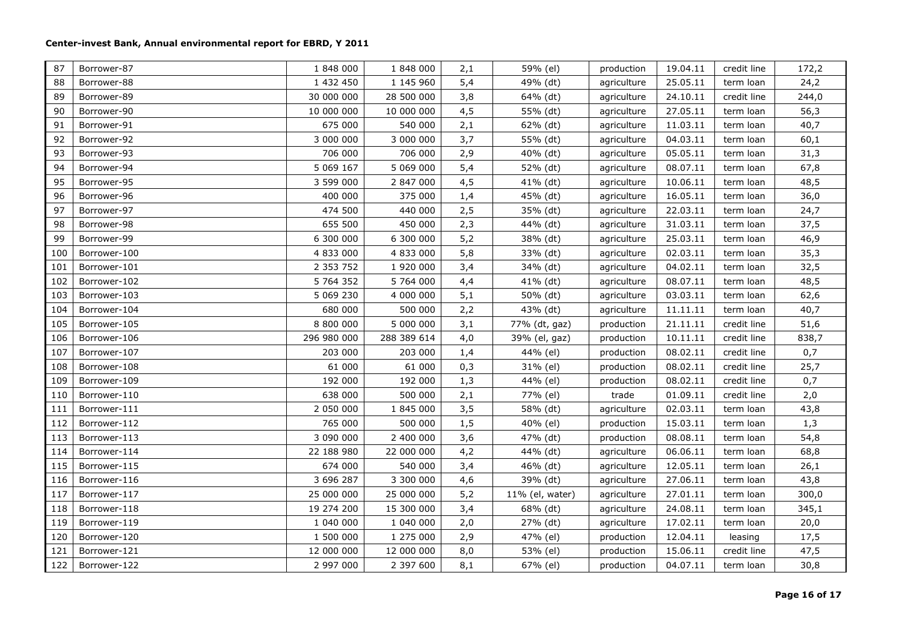| 87  | Borrower-87  | 1 848 000     | 1 848 000   | 2,1 | 59% (el)        | production  | 19.04.11 | credit line | 172,2 |
|-----|--------------|---------------|-------------|-----|-----------------|-------------|----------|-------------|-------|
| 88  | Borrower-88  | 1 432 450     | 1 145 960   | 5,4 | 49% (dt)        | agriculture | 25.05.11 | term loan   | 24,2  |
| 89  | Borrower-89  | 30 000 000    | 28 500 000  | 3,8 | 64% (dt)        | agriculture | 24.10.11 | credit line | 244,0 |
| 90  | Borrower-90  | 10 000 000    | 10 000 000  | 4,5 | 55% (dt)        | agriculture | 27.05.11 | term loan   | 56,3  |
| 91  | Borrower-91  | 675 000       | 540 000     | 2,1 | 62% (dt)        | agriculture | 11.03.11 | term loan   | 40,7  |
| 92  | Borrower-92  | 3 000 000     | 3 000 000   | 3,7 | 55% (dt)        | agriculture | 04.03.11 | term loan   | 60,1  |
| 93  | Borrower-93  | 706 000       | 706 000     | 2,9 | 40% (dt)        | agriculture | 05.05.11 | term loan   | 31,3  |
| 94  | Borrower-94  | 5 069 167     | 5 069 000   | 5,4 | 52% (dt)        | agriculture | 08.07.11 | term loan   | 67,8  |
| 95  | Borrower-95  | 3 599 000     | 2 847 000   | 4,5 | 41% (dt)        | agriculture | 10.06.11 | term loan   | 48,5  |
| 96  | Borrower-96  | 400 000       | 375 000     | 1,4 | 45% (dt)        | agriculture | 16.05.11 | term loan   | 36,0  |
| 97  | Borrower-97  | 474 500       | 440 000     | 2,5 | 35% (dt)        | agriculture | 22.03.11 | term loan   | 24,7  |
| 98  | Borrower-98  | 655 500       | 450 000     | 2,3 | 44% (dt)        | agriculture | 31.03.11 | term loan   | 37,5  |
| 99  | Borrower-99  | 6 300 000     | 6 300 000   | 5,2 | 38% (dt)        | agriculture | 25.03.11 | term loan   | 46,9  |
| 100 | Borrower-100 | 4 833 000     | 4 833 000   | 5,8 | 33% (dt)        | agriculture | 02.03.11 | term loan   | 35,3  |
| 101 | Borrower-101 | 2 3 5 3 7 5 2 | 1 920 000   | 3,4 | 34% (dt)        | agriculture | 04.02.11 | term loan   | 32,5  |
| 102 | Borrower-102 | 5 764 352     | 5 764 000   | 4,4 | 41% (dt)        | agriculture | 08.07.11 | term loan   | 48,5  |
| 103 | Borrower-103 | 5 069 230     | 4 000 000   | 5,1 | 50% (dt)        | agriculture | 03.03.11 | term loan   | 62,6  |
| 104 | Borrower-104 | 680 000       | 500 000     | 2,2 | 43% (dt)        | agriculture | 11.11.11 | term loan   | 40,7  |
| 105 | Borrower-105 | 8 800 000     | 5 000 000   | 3,1 | 77% (dt, gaz)   | production  | 21.11.11 | credit line | 51,6  |
| 106 | Borrower-106 | 296 980 000   | 288 389 614 | 4,0 | 39% (el, gaz)   | production  | 10.11.11 | credit line | 838,7 |
| 107 | Borrower-107 | 203 000       | 203 000     | 1,4 | 44% (el)        | production  | 08.02.11 | credit line | 0,7   |
| 108 | Borrower-108 | 61 000        | 61 000      | 0,3 | 31% (el)        | production  | 08.02.11 | credit line | 25,7  |
| 109 | Borrower-109 | 192 000       | 192 000     | 1,3 | 44% (el)        | production  | 08.02.11 | credit line | 0,7   |
| 110 | Borrower-110 | 638 000       | 500 000     | 2,1 | 77% (el)        | trade       | 01.09.11 | credit line | 2,0   |
| 111 | Borrower-111 | 2 050 000     | 1 845 000   | 3,5 | 58% (dt)        | agriculture | 02.03.11 | term loan   | 43,8  |
| 112 | Borrower-112 | 765 000       | 500 000     | 1,5 | 40% (el)        | production  | 15.03.11 | term loan   | 1,3   |
| 113 | Borrower-113 | 3 090 000     | 2 400 000   | 3,6 | 47% (dt)        | production  | 08.08.11 | term loan   | 54,8  |
| 114 | Borrower-114 | 22 188 980    | 22 000 000  | 4,2 | 44% (dt)        | agriculture | 06.06.11 | term loan   | 68,8  |
| 115 | Borrower-115 | 674 000       | 540 000     | 3,4 | 46% (dt)        | agriculture | 12.05.11 | term loan   | 26,1  |
| 116 | Borrower-116 | 3 696 287     | 3 300 000   | 4,6 | 39% (dt)        | agriculture | 27.06.11 | term loan   | 43,8  |
| 117 | Borrower-117 | 25 000 000    | 25 000 000  | 5,2 | 11% (el, water) | agriculture | 27.01.11 | term loan   | 300,0 |
| 118 | Borrower-118 | 19 274 200    | 15 300 000  | 3,4 | 68% (dt)        | agriculture | 24.08.11 | term loan   | 345,1 |
| 119 | Borrower-119 | 1 040 000     | 1 040 000   | 2,0 | 27% (dt)        | agriculture | 17.02.11 | term loan   | 20,0  |
| 120 | Borrower-120 | 1 500 000     | 1 275 000   | 2,9 | 47% (el)        | production  | 12.04.11 | leasing     | 17,5  |
| 121 | Borrower-121 | 12 000 000    | 12 000 000  | 8,0 | 53% (el)        | production  | 15.06.11 | credit line | 47,5  |
| 122 | Borrower-122 | 2 997 000     | 2 397 600   | 8,1 | 67% (el)        | production  | 04.07.11 | term loan   | 30,8  |